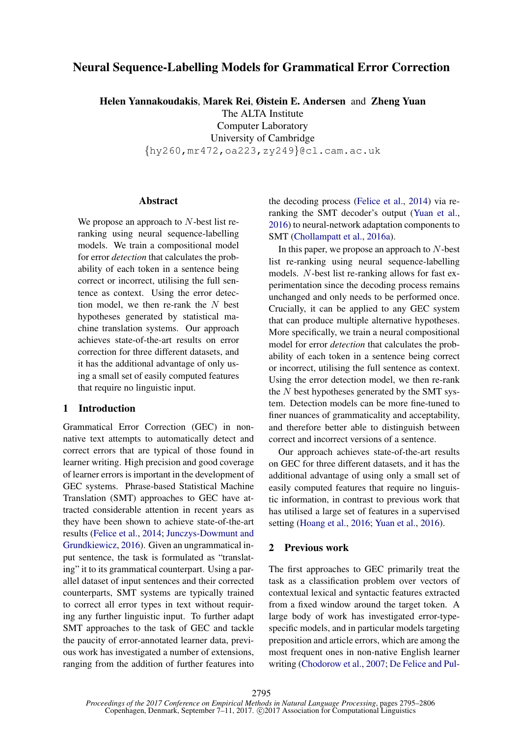# Neural Sequence-Labelling Models for Grammatical Error Correction

Helen Yannakoudakis, Marek Rei, Øistein E. Andersen and Zheng Yuan

The ALTA Institute

Computer Laboratory

University of Cambridge

{hy260,mr472,oa223,zy249}@cl.cam.ac.uk

# Abstract

We propose an approach to  $N$ -best list reranking using neural sequence-labelling models. We train a compositional model for error *detection* that calculates the probability of each token in a sentence being correct or incorrect, utilising the full sentence as context. Using the error detection model, we then re-rank the  $N$  best hypotheses generated by statistical machine translation systems. Our approach achieves state-of-the-art results on error correction for three different datasets, and it has the additional advantage of only using a small set of easily computed features that require no linguistic input.

# 1 Introduction

Grammatical Error Correction (GEC) in nonnative text attempts to automatically detect and correct errors that are typical of those found in learner writing. High precision and good coverage of learner errors is important in the development of GEC systems. Phrase-based Statistical Machine Translation (SMT) approaches to GEC have attracted considerable attention in recent years as they have been shown to achieve state-of-the-art results (Felice et al., 2014; Junczys-Dowmunt and Grundkiewicz, 2016). Given an ungrammatical input sentence, the task is formulated as "translating" it to its grammatical counterpart. Using a parallel dataset of input sentences and their corrected counterparts, SMT systems are typically trained to correct all error types in text without requiring any further linguistic input. To further adapt SMT approaches to the task of GEC and tackle the paucity of error-annotated learner data, previous work has investigated a number of extensions, ranging from the addition of further features into the decoding process (Felice et al., 2014) via reranking the SMT decoder's output (Yuan et al., 2016) to neural-network adaptation components to SMT (Chollampatt et al., 2016a).

In this paper, we propose an approach to  $N$ -best list re-ranking using neural sequence-labelling models. N-best list re-ranking allows for fast experimentation since the decoding process remains unchanged and only needs to be performed once. Crucially, it can be applied to any GEC system that can produce multiple alternative hypotheses. More specifically, we train a neural compositional model for error *detection* that calculates the probability of each token in a sentence being correct or incorrect, utilising the full sentence as context. Using the error detection model, we then re-rank the  $N$  best hypotheses generated by the SMT system. Detection models can be more fine-tuned to finer nuances of grammaticality and acceptability, and therefore better able to distinguish between correct and incorrect versions of a sentence.

Our approach achieves state-of-the-art results on GEC for three different datasets, and it has the additional advantage of using only a small set of easily computed features that require no linguistic information, in contrast to previous work that has utilised a large set of features in a supervised setting (Hoang et al., 2016; Yuan et al., 2016).

## 2 Previous work

The first approaches to GEC primarily treat the task as a classification problem over vectors of contextual lexical and syntactic features extracted from a fixed window around the target token. A large body of work has investigated error-typespecific models, and in particular models targeting preposition and article errors, which are among the most frequent ones in non-native English learner writing (Chodorow et al., 2007; De Felice and Pul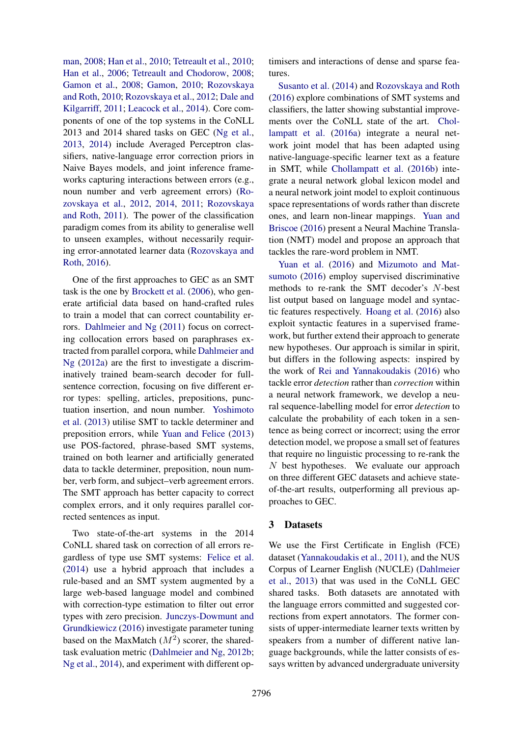man, 2008; Han et al., 2010; Tetreault et al., 2010; Han et al., 2006; Tetreault and Chodorow, 2008; Gamon et al., 2008; Gamon, 2010; Rozovskaya and Roth, 2010; Rozovskaya et al., 2012; Dale and Kilgarriff, 2011; Leacock et al., 2014). Core components of one of the top systems in the CoNLL 2013 and 2014 shared tasks on GEC (Ng et al., 2013, 2014) include Averaged Perceptron classifiers, native-language error correction priors in Naive Bayes models, and joint inference frameworks capturing interactions between errors (e.g., noun number and verb agreement errors) (Rozovskaya et al., 2012, 2014, 2011; Rozovskaya and Roth, 2011). The power of the classification paradigm comes from its ability to generalise well to unseen examples, without necessarily requiring error-annotated learner data (Rozovskaya and Roth, 2016).

One of the first approaches to GEC as an SMT task is the one by Brockett et al. (2006), who generate artificial data based on hand-crafted rules to train a model that can correct countability errors. Dahlmeier and Ng (2011) focus on correcting collocation errors based on paraphrases extracted from parallel corpora, while Dahlmeier and Ng (2012a) are the first to investigate a discriminatively trained beam-search decoder for fullsentence correction, focusing on five different error types: spelling, articles, prepositions, punctuation insertion, and noun number. Yoshimoto et al. (2013) utilise SMT to tackle determiner and preposition errors, while Yuan and Felice (2013) use POS-factored, phrase-based SMT systems, trained on both learner and artificially generated data to tackle determiner, preposition, noun number, verb form, and subject–verb agreement errors. The SMT approach has better capacity to correct complex errors, and it only requires parallel corrected sentences as input.

Two state-of-the-art systems in the 2014 CoNLL shared task on correction of all errors regardless of type use SMT systems: Felice et al. (2014) use a hybrid approach that includes a rule-based and an SMT system augmented by a large web-based language model and combined with correction-type estimation to filter out error types with zero precision. Junczys-Dowmunt and Grundkiewicz (2016) investigate parameter tuning based on the MaxMatch  $(M^2)$  scorer, the sharedtask evaluation metric (Dahlmeier and Ng, 2012b; Ng et al., 2014), and experiment with different optimisers and interactions of dense and sparse features.

Susanto et al. (2014) and Rozovskaya and Roth (2016) explore combinations of SMT systems and classifiers, the latter showing substantial improvements over the CoNLL state of the art. Chollampatt et al. (2016a) integrate a neural network joint model that has been adapted using native-language-specific learner text as a feature in SMT, while Chollampatt et al. (2016b) integrate a neural network global lexicon model and a neural network joint model to exploit continuous space representations of words rather than discrete ones, and learn non-linear mappings. Yuan and Briscoe (2016) present a Neural Machine Translation (NMT) model and propose an approach that tackles the rare-word problem in NMT.

Yuan et al. (2016) and Mizumoto and Matsumoto (2016) employ supervised discriminative methods to re-rank the SMT decoder's N-best list output based on language model and syntactic features respectively. Hoang et al. (2016) also exploit syntactic features in a supervised framework, but further extend their approach to generate new hypotheses. Our approach is similar in spirit, but differs in the following aspects: inspired by the work of Rei and Yannakoudakis (2016) who tackle error *detection* rather than *correction* within a neural network framework, we develop a neural sequence-labelling model for error *detection* to calculate the probability of each token in a sentence as being correct or incorrect; using the error detection model, we propose a small set of features that require no linguistic processing to re-rank the  $N$  best hypotheses. We evaluate our approach on three different GEC datasets and achieve stateof-the-art results, outperforming all previous approaches to GEC.

## 3 Datasets

We use the First Certificate in English (FCE) dataset (Yannakoudakis et al., 2011), and the NUS Corpus of Learner English (NUCLE) (Dahlmeier et al., 2013) that was used in the CoNLL GEC shared tasks. Both datasets are annotated with the language errors committed and suggested corrections from expert annotators. The former consists of upper-intermediate learner texts written by speakers from a number of different native language backgrounds, while the latter consists of essays written by advanced undergraduate university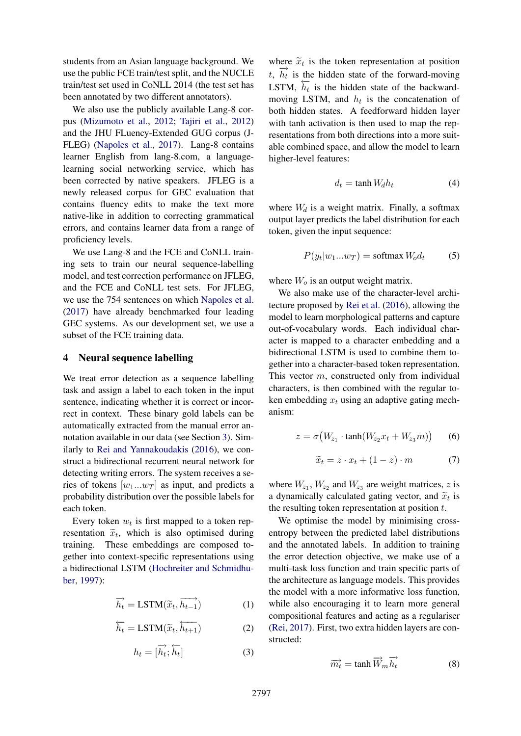students from an Asian language background. We use the public FCE train/test split, and the NUCLE train/test set used in CoNLL 2014 (the test set has been annotated by two different annotators).

We also use the publicly available Lang-8 corpus (Mizumoto et al., 2012; Tajiri et al., 2012) and the JHU FLuency-Extended GUG corpus (J-FLEG) (Napoles et al., 2017). Lang-8 contains learner English from lang-8.com, a languagelearning social networking service, which has been corrected by native speakers. JFLEG is a newly released corpus for GEC evaluation that contains fluency edits to make the text more native-like in addition to correcting grammatical errors, and contains learner data from a range of proficiency levels.

We use Lang-8 and the FCE and CoNLL training sets to train our neural sequence-labelling model, and test correction performance on JFLEG, and the FCE and CoNLL test sets. For JFLEG, we use the 754 sentences on which Napoles et al. (2017) have already benchmarked four leading GEC systems. As our development set, we use a subset of the FCE training data.

## 4 Neural sequence labelling

We treat error detection as a sequence labelling task and assign a label to each token in the input sentence, indicating whether it is correct or incorrect in context. These binary gold labels can be automatically extracted from the manual error annotation available in our data (see Section 3). Similarly to Rei and Yannakoudakis (2016), we construct a bidirectional recurrent neural network for detecting writing errors. The system receives a series of tokens  $[w_1...w_T]$  as input, and predicts a probability distribution over the possible labels for each token.

Every token  $w_t$  is first mapped to a token representation  $\tilde{x}_t$ , which is also optimised during training. These embeddings are composed together into context-specific representations using a bidirectional LSTM (Hochreiter and Schmidhuber, 1997):

$$
\overrightarrow{h_t} = \text{LSTM}(\widetilde{x}_t, \overrightarrow{h_{t-1}}) \tag{1}
$$

$$
\overleftarrow{h_t} = \text{LSTM}(\widetilde{x}_t, \overleftarrow{h_{t+1}}) \tag{2}
$$

$$
h_t = [\overrightarrow{h_t}; \overleftarrow{h_t}]
$$
 (3)

where  $\tilde{x}_t$  is the token representation at position  $t$ ,  $\overrightarrow{h_t}$  is the hidden state of the forward-moving LSTM,  $\overline{h_t}$  is the hidden state of the backwardmoving LSTM, and  $h_t$  is the concatenation of both hidden states. A feedforward hidden layer with tanh activation is then used to map the representations from both directions into a more suitable combined space, and allow the model to learn higher-level features:

$$
d_t = \tanh W_d h_t \tag{4}
$$

where  $W_d$  is a weight matrix. Finally, a softmax output layer predicts the label distribution for each token, given the input sequence:

$$
P(y_t|w_1...w_T) = \text{softmax } W_o d_t \tag{5}
$$

where  $W<sub>o</sub>$  is an output weight matrix.

We also make use of the character-level architecture proposed by Rei et al. (2016), allowing the model to learn morphological patterns and capture out-of-vocabulary words. Each individual character is mapped to a character embedding and a bidirectional LSTM is used to combine them together into a character-based token representation. This vector m, constructed only from individual characters, is then combined with the regular token embedding  $x_t$  using an adaptive gating mechanism:

$$
z = \sigma\big(W_{z_1} \cdot \tanh(W_{z_2} x_t + W_{z_3} m)\big) \qquad (6)
$$

$$
\widetilde{x}_t = z \cdot x_t + (1 - z) \cdot m \tag{7}
$$

where  $W_{z_1}$ ,  $W_{z_2}$  and  $W_{z_3}$  are weight matrices, z is a dynamically calculated gating vector, and  $\tilde{x}_t$  is the resulting token representation at position  $t$ .

We optimise the model by minimising crossentropy between the predicted label distributions and the annotated labels. In addition to training the error detection objective, we make use of a multi-task loss function and train specific parts of the architecture as language models. This provides the model with a more informative loss function, while also encouraging it to learn more general compositional features and acting as a regulariser (Rei, 2017). First, two extra hidden layers are constructed:

$$
\overrightarrow{m_t} = \tanh \overrightarrow{W}_m \overrightarrow{h_t}
$$
 (8)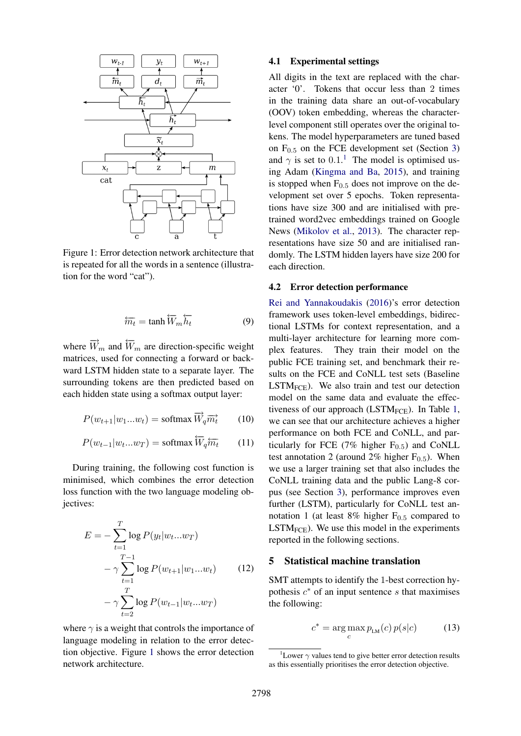

Figure 1: Error detection network architecture that is repeated for all the words in a sentence (illustration for the word "cat").

$$
\overleftarrow{m_t} = \tanh \overleftarrow{W}_m \overleftarrow{h_t} \tag{9}
$$

where  $\vec{W}_m$  and  $\overleftarrow{W}_m$  are direction-specific weight matrices, used for connecting a forward or backward LSTM hidden state to a separate layer. The surrounding tokens are then predicted based on each hidden state using a softmax output layer:

$$
P(w_{t+1}|w_1...w_t) = \text{softmax } \overrightarrow{W}_q \overrightarrow{m_t} \qquad (10)
$$

$$
P(w_{t-1}|w_t...w_T) = \text{softmax}\,\overleftarrow{W}_q\overleftarrow{m}_t \qquad (11)
$$

During training, the following cost function is minimised, which combines the error detection loss function with the two language modeling objectives:

$$
E = -\sum_{t=1}^{T} \log P(y_t|w_t...w_T)
$$
  
-  $\gamma \sum_{t=1}^{T-1} \log P(w_{t+1}|w_1...w_t)$  (12)  
-  $\gamma \sum_{t=2}^{T} \log P(w_{t-1}|w_t...w_T)$ 

where  $\gamma$  is a weight that controls the importance of language modeling in relation to the error detection objective. Figure 1 shows the error detection network architecture.

## 4.1 Experimental settings

All digits in the text are replaced with the character '0'. Tokens that occur less than 2 times in the training data share an out-of-vocabulary (OOV) token embedding, whereas the characterlevel component still operates over the original tokens. The model hyperparameters are tuned based on  $F_{0.5}$  on the FCE development set (Section 3) and  $\gamma$  is set to 0.1.<sup>1</sup> The model is optimised using Adam (Kingma and Ba, 2015), and training is stopped when  $F_{0.5}$  does not improve on the development set over 5 epochs. Token representations have size 300 and are initialised with pretrained word2vec embeddings trained on Google News (Mikolov et al., 2013). The character representations have size 50 and are initialised randomly. The LSTM hidden layers have size 200 for each direction.

#### 4.2 Error detection performance

Rei and Yannakoudakis (2016)'s error detection framework uses token-level embeddings, bidirectional LSTMs for context representation, and a multi-layer architecture for learning more complex features. They train their model on the public FCE training set, and benchmark their results on the FCE and CoNLL test sets (Baseline  $LSTM_{FCE}$ ). We also train and test our detection model on the same data and evaluate the effectiveness of our approach (LSTM<sub>FCE</sub>). In Table 1, we can see that our architecture achieves a higher performance on both FCE and CoNLL, and particularly for FCE (7% higher  $F_{0.5}$ ) and CoNLL test annotation 2 (around 2% higher  $F_{0.5}$ ). When we use a larger training set that also includes the CoNLL training data and the public Lang-8 corpus (see Section 3), performance improves even further (LSTM), particularly for CoNLL test annotation 1 (at least 8% higher  $F_{0.5}$  compared to  $LSTM_{FCE}$ ). We use this model in the experiments reported in the following sections.

### 5 Statistical machine translation

SMT attempts to identify the 1-best correction hypothesis  $c^*$  of an input sentence s that maximises the following:

$$
c^* = \arg\max_c p_{LM}(c) \, p(s|c) \tag{13}
$$

<sup>&</sup>lt;sup>1</sup>Lower  $\gamma$  values tend to give better error detection results as this essentially prioritises the error detection objective.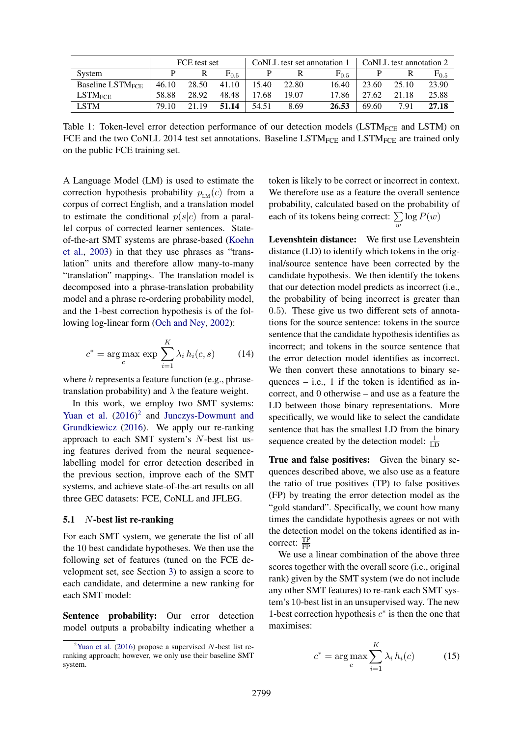|                                    | FCE test set |       |                    |       |       | CoNLL test set annotation $1$ | CoNLL test annotation 2 |       |           |
|------------------------------------|--------------|-------|--------------------|-------|-------|-------------------------------|-------------------------|-------|-----------|
| System                             |              |       | $\mathrm{F}_{0.5}$ |       |       | $F_{0.5}$                     |                         |       | $F_{0.5}$ |
| <b>Baseline LSTM<sub>FCE</sub></b> | 46.10        | 28.50 | 41.10              | 15.40 | 22.80 | 16.40                         | 23.60                   | 25.10 | 23.90     |
| $LSTM_{\rm FCE}$                   | 58.88        | 28.92 | 48.48              | 17.68 | 19.07 | 17.86                         | 27.62                   | 21.18 | 25.88     |
| <b>LSTM</b>                        | 79.10        | 21.19 | 51.14              | 54.51 | 8.69  | 26.53                         | 69.60                   | 7.91  | 27.18     |

Table 1: Token-level error detection performance of our detection models ( $\text{LSTM}_{\text{FCE}}$  and  $\text{LSTM}$ ) on FCE and the two CoNLL 2014 test set annotations. Baseline LSTM<sub>FCE</sub> and LSTM<sub>FCE</sub> are trained only on the public FCE training set.

A Language Model (LM) is used to estimate the correction hypothesis probability  $p_{LM}(c)$  from a corpus of correct English, and a translation model to estimate the conditional  $p(s|c)$  from a parallel corpus of corrected learner sentences. Stateof-the-art SMT systems are phrase-based (Koehn et al., 2003) in that they use phrases as "translation" units and therefore allow many-to-many "translation" mappings. The translation model is decomposed into a phrase-translation probability model and a phrase re-ordering probability model, and the 1-best correction hypothesis is of the following log-linear form (Och and Ney, 2002):

$$
c^* = \underset{c}{\arg \max} \, \exp \sum_{i=1}^{K} \lambda_i \, h_i(c, s) \tag{14}
$$

where  $h$  represents a feature function (e.g., phrasetranslation probability) and  $\lambda$  the feature weight.

In this work, we employ two SMT systems: Yuan et al.  $(2016)^2$  and Junczys-Dowmunt and Grundkiewicz (2016). We apply our re-ranking approach to each SMT system's N-best list using features derived from the neural sequencelabelling model for error detection described in the previous section, improve each of the SMT systems, and achieve state-of-the-art results on all three GEC datasets: FCE, CoNLL and JFLEG.

# 5.1 N-best list re-ranking

For each SMT system, we generate the list of all the 10 best candidate hypotheses. We then use the following set of features (tuned on the FCE development set, see Section 3) to assign a score to each candidate, and determine a new ranking for each SMT model:

Sentence probability: Our error detection model outputs a probabilty indicating whether a token is likely to be correct or incorrect in context. We therefore use as a feature the overall sentence probability, calculated based on the probability of each of its tokens being correct: ∑ w  $log P(w)$ 

Levenshtein distance: We first use Levenshtein distance (LD) to identify which tokens in the original/source sentence have been corrected by the candidate hypothesis. We then identify the tokens that our detection model predicts as incorrect (i.e., the probability of being incorrect is greater than 0.5). These give us two different sets of annotations for the source sentence: tokens in the source sentence that the candidate hypothesis identifies as incorrect; and tokens in the source sentence that the error detection model identifies as incorrect. We then convert these annotations to binary sequences  $-$  i.e., 1 if the token is identified as incorrect, and 0 otherwise – and use as a feature the LD between those binary representations. More specifically, we would like to select the candidate sentence that has the smallest LD from the binary sequence created by the detection model:  $\frac{1}{LD}$ 

True and false positives: Given the binary sequences described above, we also use as a feature the ratio of true positives (TP) to false positives (FP) by treating the error detection model as the "gold standard". Specifically, we count how many times the candidate hypothesis agrees or not with the detection model on the tokens identified as incorrect:  $\frac{TP}{FP}$ 

We use a linear combination of the above three scores together with the overall score (i.e., original rank) given by the SMT system (we do not include any other SMT features) to re-rank each SMT system's 10-best list in an unsupervised way. The new 1-best correction hypothesis  $c^*$  is then the one that maximises:

$$
c^* = \arg\max_{c} \sum_{i=1}^{K} \lambda_i h_i(c) \tag{15}
$$

<sup>&</sup>lt;sup>2</sup>Yuan et al. (2016) propose a supervised  $N$ -best list reranking approach; however, we only use their baseline SMT system.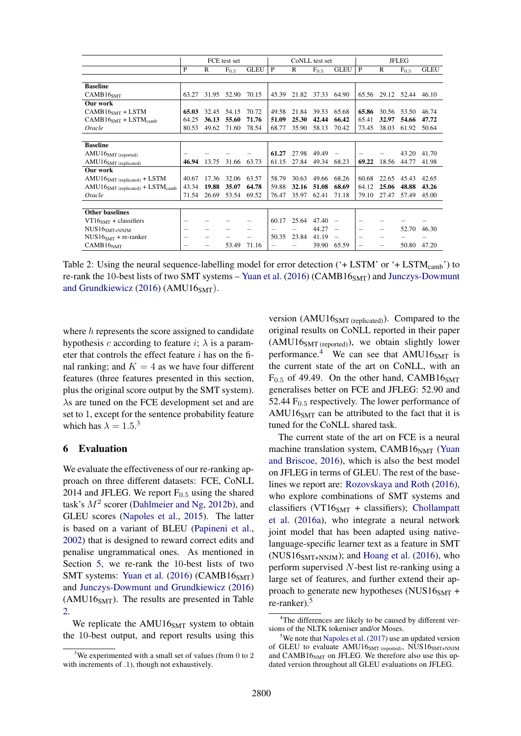|                                                | FCE test set |       |           | CoNLL test set |       |              | <b>JFLEG</b> |                 |                          |              |           |             |
|------------------------------------------------|--------------|-------|-----------|----------------|-------|--------------|--------------|-----------------|--------------------------|--------------|-----------|-------------|
|                                                | P            | R     | $F_{0.5}$ | <b>GLEU</b>    | P     | $\mathbb{R}$ | $F_{0.5}$    | <b>GLEU</b>     | P                        | $\mathbb{R}$ | $F_{0.5}$ | <b>GLEU</b> |
|                                                |              |       |           |                |       |              |              |                 |                          |              |           |             |
| <b>Baseline</b>                                |              |       |           |                |       |              |              |                 |                          |              |           |             |
| CAMB16 <sub>SMT</sub>                          | 63.27        | 31.95 | 52.90     | 70.15          | 45.39 | 21.82        | 37.33        | 64.90           | 65.56                    | 29.12        | 52.44     | 46.10       |
| Our work                                       |              |       |           |                |       |              |              |                 |                          |              |           |             |
| $CAMB16SMT + LSTM$                             | 65.03        | 32.45 | 54.15     | 70.72          | 49.58 | 21.84        | 39.53        | 65.68           | 65.86                    | 30.56        | 53.50     | 46.74       |
| $CAMB16SMT + LSTMcamb$                         | 64.25        | 36.13 | 55.60     | 71.76          | 51.09 | 25.30        | 42.44        | 66.42           | 65.41                    | 32.97        | 54.66     | 47.72       |
| Oracle                                         | 80.53        | 49.62 | 71.60     | 78.54          | 68.77 | 35.90        | 58.13        | 70.42           | 73.45                    | 38.03        | 61.92     | 50.64       |
|                                                |              |       |           |                |       |              |              |                 |                          |              |           |             |
| <b>Baseline</b>                                |              |       |           |                |       |              |              |                 |                          |              |           |             |
| $AMU16SMT$ (reported)                          |              |       |           |                | 61.27 | 27.98        | 49.49        |                 |                          |              | 43.20     | 41.70       |
| AMU16SMT (replicated)                          | 46.94        | 13.75 | 31.66     | 63.73          | 61.15 | 27.84        | 49.34        | 68.23           | 69.22                    | 18.56        | 44.77     | 41.98       |
| Our work                                       |              |       |           |                |       |              |              |                 |                          |              |           |             |
| $AMU16SMT$ (replicated) + LSTM                 | 40.67        | 17.36 | 32.06     | 63.57          | 58.79 | 30.63        | 49.66        | 68.26           | 60.68                    | 22.65        | 45.43     | 42.65       |
| $AMU16SMT$ (replicated) + LSTM <sub>camb</sub> | 43.34        | 19.88 | 35.07     | 64.78          | 59.88 | 32.16        | 51.08        | 68.69           | 64.12                    | 25.06        | 48.88     | 43.26       |
| Oracle                                         | 71.54        | 26.69 | 53.54     | 69.52          | 76.47 | 35.97        | 62.41        | 71.18           | 79.10                    | 27.47        | 57.49     | 45.00       |
|                                                |              |       |           |                |       |              |              |                 |                          |              |           |             |
| <b>Other baselines</b>                         |              |       |           |                |       |              |              |                 |                          |              |           |             |
| $VT16SMT + classifiers$                        |              |       |           |                | 60.17 | 25.64        | 47.40        |                 |                          |              |           |             |
| $NUS16SMT+NNJM$                                | -            |       |           | -              | -     |              | 44.27        | $\qquad \qquad$ | $\overline{\phantom{0}}$ | -            | 52.70     | 46.30       |
| $NUS16SMT + re-ranker$                         | -            |       |           |                | 50.35 | 23.84        | 41.19        |                 | $\overline{\phantom{0}}$ |              |           |             |
| CAMB16 <sub>NMT</sub>                          |              |       | 53.49     | 71.16          | -     |              | 39.90        | 65.59           |                          | -            | 50.80     | 47.20       |

Table 2: Using the neural sequence-labelling model for error detection ( $+$  LSTM' or  $+$  LSTM<sub>camb</sub>') to re-rank the 10-best lists of two SMT systems – Yuan et al. (2016) (CAMB16 $_{\rm{SMT}}$ ) and Junczys-Dowmunt and Grundkiewicz (2016) (AMU16 $_{SMT}$ ).

where h represents the score assigned to candidate hypothesis c according to feature i;  $\lambda$  is a parameter that controls the effect feature  $i$  has on the final ranking; and  $K = 4$  as we have four different features (three features presented in this section, plus the original score output by the SMT system). λs are tuned on the FCE development set and are set to 1, except for the sentence probability feature which has  $\lambda = 1.5$ .<sup>3</sup>

# 6 Evaluation

We evaluate the effectiveness of our re-ranking approach on three different datasets: FCE, CoNLL 2014 and JFLEG. We report  $F_{0.5}$  using the shared task's  $M^2$  scorer (Dahlmeier and Ng, 2012b), and GLEU scores (Napoles et al., 2015). The latter is based on a variant of BLEU (Papineni et al., 2002) that is designed to reward correct edits and penalise ungrammatical ones. As mentioned in Section 5, we re-rank the 10-best lists of two SMT systems: Yuan et al.  $(2016)$  (CAMB16<sub>SMT</sub>) and Junczys-Dowmunt and Grundkiewicz (2016)  $(AMU16<sub>SMT</sub>)$ . The results are presented in Table 2.

We replicate the AMU16<sub>SMT</sub> system to obtain the 10-best output, and report results using this

version (AMU16 $_{SMT (replicated)})$ . Compared to the original results on CoNLL reported in their paper  $(AMU16<sub>SMT</sub>$  (reported)), we obtain slightly lower performance.<sup>4</sup> We can see that  $AMU16<sub>SMT</sub>$  is the current state of the art on CoNLL, with an  $F_{0.5}$  of 49.49. On the other hand, CAMB16<sub>SMT</sub> generalises better on FCE and JFLEG: 52.90 and 52.44  $F<sub>0.5</sub>$  respectively. The lower performance of AMU16 $_{\rm SMT}$  can be attributed to the fact that it is tuned for the CoNLL shared task.

The current state of the art on FCE is a neural machine translation system, CAMB1 $6<sub>NMT</sub>$  (Yuan and Briscoe, 2016), which is also the best model on JFLEG in terms of GLEU. The rest of the baselines we report are: Rozovskaya and Roth (2016), who explore combinations of SMT systems and classifiers (VT16 $_{\rm SMT}$  + classifiers); Chollampatt et al. (2016a), who integrate a neural network joint model that has been adapted using nativelanguage-specific learner text as a feature in SMT (NUS16 $_{SMT+NNJM}$ ); and Hoang et al. (2016), who perform supervised N-best list re-ranking using a large set of features, and further extend their approach to generate new hypotheses (NUS16 $_{\rm SMT}$  + re-ranker).<sup>5</sup>

<sup>&</sup>lt;sup>3</sup>We experimented with a small set of values (from 0 to 2 with increments of .1), though not exhaustively.

<sup>&</sup>lt;sup>4</sup>The differences are likely to be caused by different versions of the NLTK tokeniser and/or Moses.

 $5$ We note that Napoles et al. (2017) use an updated version of GLEU to evaluate  $AMU16<sub>SMT</sub>$  (reported), NUS16 $<sub>SMT+NNJM</sub>$ </sub> and  $CAMB16<sub>NMT</sub>$  on JFLEG. We therefore also use this updated version throughout all GLEU evaluations on JFLEG.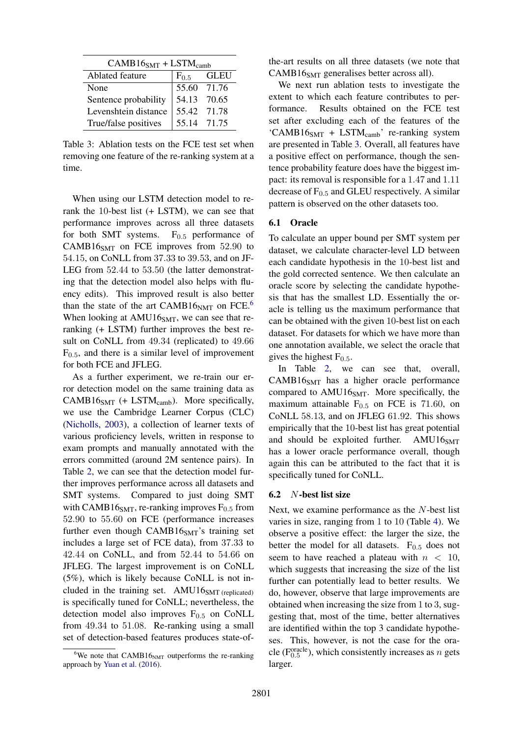| $CAMB16SMT + LSTMcomb$ |           |             |  |  |  |  |
|------------------------|-----------|-------------|--|--|--|--|
| Ablated feature        | $F_{0.5}$ | GLEU        |  |  |  |  |
| None                   |           | 55.60 71.76 |  |  |  |  |
| Sentence probability   |           | 54.13 70.65 |  |  |  |  |
| Levenshtein distance   |           | 55.42 71.78 |  |  |  |  |
| True/false positives   |           | 55.14 71.75 |  |  |  |  |

Table 3: Ablation tests on the FCE test set when removing one feature of the re-ranking system at a time.

When using our LSTM detection model to rerank the 10-best list (+ LSTM), we can see that performance improves across all three datasets for both SMT systems.  $F_{0.5}$  performance of CAMB16 $_{\rm SMT}$  on FCE improves from 52.90 to 54.15, on CoNLL from 37.33 to 39.53, and on JF-LEG from 52.44 to 53.50 (the latter demonstrating that the detection model also helps with fluency edits). This improved result is also better than the state of the art  $CAMB16<sub>NMT</sub>$  on FCE.<sup>6</sup> When looking at  $AMU16<sub>SMT</sub>$ , we can see that reranking (+ LSTM) further improves the best result on CoNLL from 49.34 (replicated) to 49.66  $F<sub>0.5</sub>$ , and there is a similar level of improvement for both FCE and JFLEG.

As a further experiment, we re-train our error detection model on the same training data as  $CAMB16<sub>SMT</sub>$  (+ LSTM<sub>camb</sub>). More specifically, we use the Cambridge Learner Corpus (CLC) (Nicholls, 2003), a collection of learner texts of various proficiency levels, written in response to exam prompts and manually annotated with the errors committed (around 2M sentence pairs). In Table 2, we can see that the detection model further improves performance across all datasets and SMT systems. Compared to just doing SMT with CAMB16 $_{\text{SMT}}$ , re-ranking improves  $F_{0.5}$  from 52.90 to 55.60 on FCE (performance increases further even though  $CAMB16<sub>SMT</sub>'s$  training set includes a large set of FCE data), from 37.33 to 42.44 on CoNLL, and from 52.44 to 54.66 on JFLEG. The largest improvement is on CoNLL (5%), which is likely because CoNLL is not included in the training set.  $AMU16<sub>SMT</sub>$  (replicated) is specifically tuned for CoNLL; nevertheless, the detection model also improves  $F_{0.5}$  on CoNLL from 49.34 to 51.08. Re-ranking using a small set of detection-based features produces state-ofthe-art results on all three datasets (we note that  $CAMB16<sub>SMT</sub>$  generalises better across all).

We next run ablation tests to investigate the extent to which each feature contributes to performance. Results obtained on the FCE test set after excluding each of the features of the 'CAMB16 $_{SMT}$  + LSTM<sub>camb</sub>' re-ranking system are presented in Table 3. Overall, all features have a positive effect on performance, though the sentence probability feature does have the biggest impact: its removal is responsible for a 1.47 and 1.11 decrease of  $F_{0.5}$  and GLEU respectively. A similar pattern is observed on the other datasets too.

#### 6.1 Oracle

To calculate an upper bound per SMT system per dataset, we calculate character-level LD between each candidate hypothesis in the 10-best list and the gold corrected sentence. We then calculate an oracle score by selecting the candidate hypothesis that has the smallest LD. Essentially the oracle is telling us the maximum performance that can be obtained with the given 10-best list on each dataset. For datasets for which we have more than one annotation available, we select the oracle that gives the highest  $F_{0.5}$ .

In Table 2, we can see that, overall,  $CAMB16<sub>SMT</sub>$  has a higher oracle performance compared to  $AMU16<sub>SMT</sub>$ . More specifically, the maximum attainable  $F_{0.5}$  on FCE is 71.60, on CoNLL 58.13, and on JFLEG 61.92. This shows empirically that the 10-best list has great potential and should be exploited further. AMU16 $_{\rm SMT}$ has a lower oracle performance overall, though again this can be attributed to the fact that it is specifically tuned for CoNLL.

#### 6.2 N-best list size

Next, we examine performance as the N-best list varies in size, ranging from 1 to 10 (Table 4). We observe a positive effect: the larger the size, the better the model for all datasets.  $F_{0.5}$  does not seem to have reached a plateau with  $n < 10$ , which suggests that increasing the size of the list further can potentially lead to better results. We do, however, observe that large improvements are obtained when increasing the size from 1 to 3, suggesting that, most of the time, better alternatives are identified within the top 3 candidate hypotheses. This, however, is not the case for the oracle ( $F_{0.5}^{oracle}$ ), which consistently increases as *n* gets larger.

<sup>&</sup>lt;sup>6</sup>We note that CAMB16<sub>NMT</sub> outperforms the re-ranking approach by Yuan et al. (2016).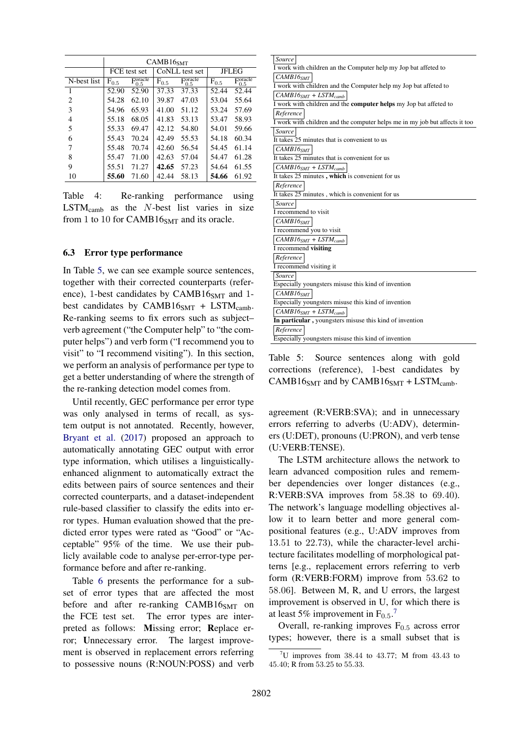|                | CAMB16 <sub>SMT</sub> |                                               |           |                                                 |              |                                               |  |
|----------------|-----------------------|-----------------------------------------------|-----------|-------------------------------------------------|--------------|-----------------------------------------------|--|
|                |                       | FCE test set                                  |           | CoNLL test set                                  | <b>JFLEG</b> |                                               |  |
| N-best list    | $F_{0.5}$             | $\overline{\mathrm{F}_{0.5}^\mathrm{oracle}}$ | $F_{0.5}$ | $\overline{\mathrm{F}_{0.5}^{\mathrm{oracle}}}$ | $F_{0.5}$    | $\overline{\mathrm{F}_{0.5}^\mathrm{oracle}}$ |  |
| $\mathbf{1}$   | 52.90                 | 52.90                                         | 37.33     | 37.33                                           | 52.44        | 52.44                                         |  |
| $\overline{c}$ | 54.28                 | 62.10                                         | 39.87     | 47.03                                           | 53.04        | 55.64                                         |  |
| 3              | 54.96                 | 65.93                                         | 41.00     | 51.12                                           | 53.24        | 57.69                                         |  |
| 4              | 55.18                 | 68.05                                         | 41.83     | 53.13                                           | 53.47        | 58.93                                         |  |
| 5              | 55.33                 | 69.47                                         | 42.12     | 54.80                                           | 54.01        | 59.66                                         |  |
| 6              | 55.43                 | 70.24                                         | 42.49     | 55.53                                           | 54.18        | 60.34                                         |  |
| 7              | 55.48                 | 70.74                                         | 42.60     | 56.54                                           | 54.45        | 61.14                                         |  |
| 8              | 55.47                 | 71.00                                         | 42.63     | 57.04                                           | 54.47        | 61.28                                         |  |
| 9              | 55.51                 | 71.27                                         | 42.65     | 57.23                                           | 54.64        | 61.55                                         |  |
| 10             | 55.60                 | 71.60                                         | 42.44     | 58.13                                           | 54.66        | 61.92                                         |  |

Table 4: Re-ranking performance using  $LSTM_{camb}$  as the *N*-best list varies in size from 1 to 10 for CAMB16 $_{\rm SMT}$  and its oracle.

# 6.3 Error type performance

In Table 5, we can see example source sentences, together with their corrected counterparts (reference), 1-best candidates by CAMB16 $_{\text{SMT}}$  and 1best candidates by CAMB16 $_{\text{SMT}}$  + LSTM<sub>camb</sub>. Re-ranking seems to fix errors such as subject– verb agreement ("the Computer help" to "the computer helps") and verb form ("I recommend you to visit" to "I recommend visiting"). In this section, we perform an analysis of performance per type to get a better understanding of where the strength of the re-ranking detection model comes from.

Until recently, GEC performance per error type was only analysed in terms of recall, as system output is not annotated. Recently, however, Bryant et al. (2017) proposed an approach to automatically annotating GEC output with error type information, which utilises a linguisticallyenhanced alignment to automatically extract the edits between pairs of source sentences and their corrected counterparts, and a dataset-independent rule-based classifier to classify the edits into error types. Human evaluation showed that the predicted error types were rated as "Good" or "Acceptable" 95% of the time. We use their publicly available code to analyse per-error-type performance before and after re-ranking.

Table 6 presents the performance for a subset of error types that are affected the most before and after re-ranking  $CAMB16<sub>SMT</sub>$  on the FCE test set. The error types are interpreted as follows: Missing error; Replace error; Unnecessary error. The largest improvement is observed in replacement errors referring to possessive nouns (R:NOUN:POSS) and verb

| Source                                                                      |
|-----------------------------------------------------------------------------|
| I work with children an the Computer help my Jop bat affeted to             |
| CAMB16 <sub>SMT</sub>                                                       |
| I work with children and the Computer help my Jop bat affeted to            |
| $CAMB16SMT + LSTMcomb$                                                      |
| I work with children and the <b>computer helps</b> my Jop bat affeted to    |
| Reference                                                                   |
| I work with children and the computer helps me in my job but affects it too |
| Source                                                                      |
| It takes 25 minutes that is convenient to us                                |
| CAMB16 <sub>SMT</sub>                                                       |
| It takes 25 minutes that is convenient for us                               |
| $CAMB16SMT + LSTMcomb$                                                      |
| It takes 25 minutes, which is convenient for us                             |
| Reference                                                                   |
| It takes 25 minutes, which is convenient for us                             |
| Source                                                                      |
| I recommend to visit                                                        |
| CAMBI6 <sub>SMT</sub>                                                       |
| I recommend you to visit                                                    |
| $CAMB16SMT + LSTMcomb$                                                      |
| I recommend visiting                                                        |
| Reference                                                                   |
| I recommend visiting it                                                     |
| <i>Source</i>                                                               |
| Especially youngsters misuse this kind of invention                         |
| CAMB16 <sub>SMT</sub>                                                       |
| Especially youngsters misuse this kind of invention                         |
|                                                                             |
| $CAMB16SMT + LSTMcamb$                                                      |
| In particular, youngsters misuse this kind of invention                     |
| Reference                                                                   |

Table 5: Source sentences along with gold corrections (reference), 1-best candidates by CAMB16 $_{SMT}$  and by CAMB16 $_{SMT}$  + LSTM<sub>camb</sub>.

agreement (R:VERB:SVA); and in unnecessary errors referring to adverbs (U:ADV), determiners (U:DET), pronouns (U:PRON), and verb tense (U:VERB:TENSE).

The LSTM architecture allows the network to learn advanced composition rules and remember dependencies over longer distances (e.g., R:VERB:SVA improves from 58.38 to 69.40). The network's language modelling objectives allow it to learn better and more general compositional features (e.g., U:ADV improves from 13.51 to 22.73), while the character-level architecture facilitates modelling of morphological patterns [e.g., replacement errors referring to verb form (R:VERB:FORM) improve from 53.62 to 58.06]. Between M, R, and U errors, the largest improvement is observed in U, for which there is at least 5% improvement in  $F_{0.5}$ .<sup>7</sup>

Overall, re-ranking improves  $F_{0.5}$  across error types; however, there is a small subset that is

 $7<sup>7</sup>$ U improves from 38.44 to 43.77; M from 43.43 to 45.40; R from 53.25 to 55.33.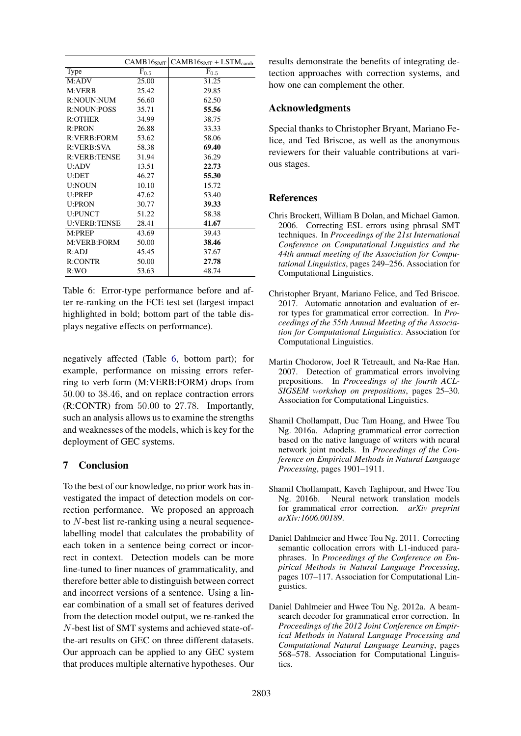|                     |           | $CAMB16_{SMT}$ $CAMB16_{SMT}$ + LSTM <sub>camb</sub> |
|---------------------|-----------|------------------------------------------------------|
| Type                | $F_{0.5}$ | $F_{0.5}$                                            |
| M:ADV               | 25.00     | 31.25                                                |
| M:VERB              | 25.42     | 29.85                                                |
| R:NOUN:NUM          | 56.60     | 62.50                                                |
| <b>R:NOUN:POSS</b>  | 35.71     | 55.56                                                |
| R:OTHER             | 34.99     | 38.75                                                |
| R:PRON              | 26.88     | 33.33                                                |
| R:VERB:FORM         | 53.62     | 58.06                                                |
| R:VERB:SVA          | 58.38     | 69.40                                                |
| <b>R:VERB:TENSE</b> | 31.94     | 36.29                                                |
| U:ADV               | 13.51     | 22.73                                                |
| <b>U:DET</b>        | 46.27     | 55.30                                                |
| <b>U:NOUN</b>       | 10.10     | 15.72                                                |
| U:PREP              | 47.62     | 53.40                                                |
| <b>U:PRON</b>       | 30.77     | 39.33                                                |
| <b>U:PUNCT</b>      | 51.22     | 58.38                                                |
| <b>U:VERB:TENSE</b> | 28.41     | 41.67                                                |
| M:PREP              | 43.69     | 39.43                                                |
| M:VERB:FORM         | 50.00     | 38.46                                                |
| R:ADJ               | 45.45     | 37.67                                                |
| <b>R:CONTR</b>      | 50.00     | 27.78                                                |
| R:WO                | 53.63     | 48.74                                                |

Table 6: Error-type performance before and after re-ranking on the FCE test set (largest impact highlighted in bold; bottom part of the table displays negative effects on performance).

negatively affected (Table 6, bottom part); for example, performance on missing errors referring to verb form (M:VERB:FORM) drops from 50.00 to 38.46, and on replace contraction errors (R:CONTR) from 50.00 to 27.78. Importantly, such an analysis allows us to examine the strengths and weaknesses of the models, which is key for the deployment of GEC systems.

# 7 Conclusion

To the best of our knowledge, no prior work has investigated the impact of detection models on correction performance. We proposed an approach to N-best list re-ranking using a neural sequencelabelling model that calculates the probability of each token in a sentence being correct or incorrect in context. Detection models can be more fine-tuned to finer nuances of grammaticality, and therefore better able to distinguish between correct and incorrect versions of a sentence. Using a linear combination of a small set of features derived from the detection model output, we re-ranked the N-best list of SMT systems and achieved state-ofthe-art results on GEC on three different datasets. Our approach can be applied to any GEC system that produces multiple alternative hypotheses. Our results demonstrate the benefits of integrating detection approaches with correction systems, and how one can complement the other.

# Acknowledgments

Special thanks to Christopher Bryant, Mariano Felice, and Ted Briscoe, as well as the anonymous reviewers for their valuable contributions at various stages.

# References

- Chris Brockett, William B Dolan, and Michael Gamon. 2006. Correcting ESL errors using phrasal SMT techniques. In *Proceedings of the 21st International Conference on Computational Linguistics and the 44th annual meeting of the Association for Computational Linguistics*, pages 249–256. Association for Computational Linguistics.
- Christopher Bryant, Mariano Felice, and Ted Briscoe. 2017. Automatic annotation and evaluation of error types for grammatical error correction. In *Proceedings of the 55th Annual Meeting of the Association for Computational Linguistics*. Association for Computational Linguistics.
- Martin Chodorow, Joel R Tetreault, and Na-Rae Han. 2007. Detection of grammatical errors involving prepositions. In *Proceedings of the fourth ACL-SIGSEM workshop on prepositions*, pages 25–30. Association for Computational Linguistics.
- Shamil Chollampatt, Duc Tam Hoang, and Hwee Tou Ng. 2016a. Adapting grammatical error correction based on the native language of writers with neural network joint models. In *Proceedings of the Conference on Empirical Methods in Natural Language Processing*, pages 1901–1911.
- Shamil Chollampatt, Kaveh Taghipour, and Hwee Tou Ng. 2016b. Neural network translation models for grammatical error correction. *arXiv preprint arXiv:1606.00189*.
- Daniel Dahlmeier and Hwee Tou Ng. 2011. Correcting semantic collocation errors with L1-induced paraphrases. In *Proceedings of the Conference on Empirical Methods in Natural Language Processing*, pages 107–117. Association for Computational Linguistics.
- Daniel Dahlmeier and Hwee Tou Ng. 2012a. A beamsearch decoder for grammatical error correction. In *Proceedings of the 2012 Joint Conference on Empirical Methods in Natural Language Processing and Computational Natural Language Learning*, pages 568–578. Association for Computational Linguistics.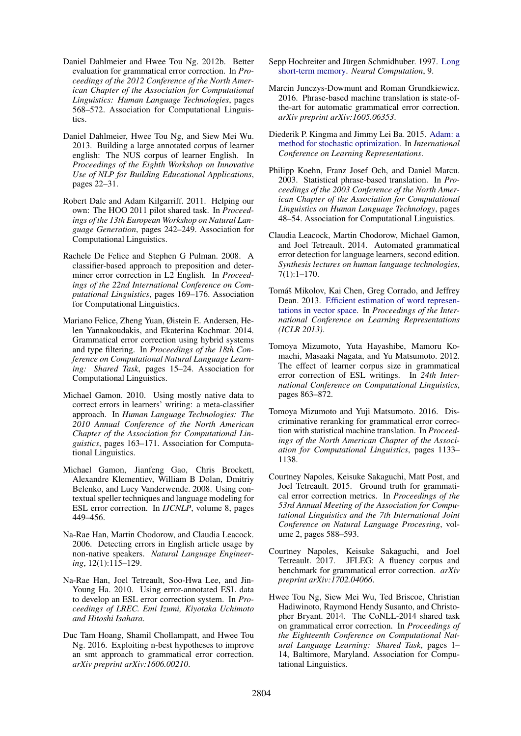- Daniel Dahlmeier and Hwee Tou Ng. 2012b. Better evaluation for grammatical error correction. In *Proceedings of the 2012 Conference of the North American Chapter of the Association for Computational Linguistics: Human Language Technologies*, pages 568–572. Association for Computational Linguistics.
- Daniel Dahlmeier, Hwee Tou Ng, and Siew Mei Wu. 2013. Building a large annotated corpus of learner english: The NUS corpus of learner English. In *Proceedings of the Eighth Workshop on Innovative Use of NLP for Building Educational Applications*, pages 22–31.
- Robert Dale and Adam Kilgarriff. 2011. Helping our own: The HOO 2011 pilot shared task. In *Proceedings of the 13th European Workshop on Natural Language Generation*, pages 242–249. Association for Computational Linguistics.
- Rachele De Felice and Stephen G Pulman. 2008. A classifier-based approach to preposition and determiner error correction in L2 English. In *Proceedings of the 22nd International Conference on Computational Linguistics*, pages 169–176. Association for Computational Linguistics.
- Mariano Felice, Zheng Yuan, Øistein E. Andersen, Helen Yannakoudakis, and Ekaterina Kochmar. 2014. Grammatical error correction using hybrid systems and type filtering. In *Proceedings of the 18th Conference on Computational Natural Language Learning: Shared Task*, pages 15–24. Association for Computational Linguistics.
- Michael Gamon. 2010. Using mostly native data to correct errors in learners' writing: a meta-classifier approach. In *Human Language Technologies: The 2010 Annual Conference of the North American Chapter of the Association for Computational Linguistics*, pages 163–171. Association for Computational Linguistics.
- Michael Gamon, Jianfeng Gao, Chris Brockett, Alexandre Klementiev, William B Dolan, Dmitriy Belenko, and Lucy Vanderwende. 2008. Using contextual speller techniques and language modeling for ESL error correction. In *IJCNLP*, volume 8, pages 449–456.
- Na-Rae Han, Martin Chodorow, and Claudia Leacock. 2006. Detecting errors in English article usage by non-native speakers. *Natural Language Engineering*, 12(1):115–129.
- Na-Rae Han, Joel Tetreault, Soo-Hwa Lee, and Jin-Young Ha. 2010. Using error-annotated ESL data to develop an ESL error correction system. In *Proceedings of LREC. Emi Izumi, Kiyotaka Uchimoto and Hitoshi Isahara*.
- Duc Tam Hoang, Shamil Chollampatt, and Hwee Tou Ng. 2016. Exploiting n-best hypotheses to improve an smt approach to grammatical error correction. *arXiv preprint arXiv:1606.00210*.
- Sepp Hochreiter and Jürgen Schmidhuber. 1997. Long short-term memory. *Neural Computation*, 9.
- Marcin Junczys-Dowmunt and Roman Grundkiewicz. 2016. Phrase-based machine translation is state-ofthe-art for automatic grammatical error correction. *arXiv preprint arXiv:1605.06353*.
- Diederik P. Kingma and Jimmy Lei Ba. 2015. Adam: a method for stochastic optimization. In *International Conference on Learning Representations*.
- Philipp Koehn, Franz Josef Och, and Daniel Marcu. 2003. Statistical phrase-based translation. In *Proceedings of the 2003 Conference of the North American Chapter of the Association for Computational Linguistics on Human Language Technology*, pages 48–54. Association for Computational Linguistics.
- Claudia Leacock, Martin Chodorow, Michael Gamon, and Joel Tetreault. 2014. Automated grammatical error detection for language learners, second edition. *Synthesis lectures on human language technologies*, 7(1):1–170.
- Tomáš Mikolov, Kai Chen, Greg Corrado, and Jeffrey Dean. 2013. Efficient estimation of word representations in vector space. In *Proceedings of the International Conference on Learning Representations (ICLR 2013)*.
- Tomoya Mizumoto, Yuta Hayashibe, Mamoru Komachi, Masaaki Nagata, and Yu Matsumoto. 2012. The effect of learner corpus size in grammatical error correction of ESL writings. In *24th International Conference on Computational Linguistics*, pages 863–872.
- Tomoya Mizumoto and Yuji Matsumoto. 2016. Discriminative reranking for grammatical error correction with statistical machine translation. In *Proceedings of the North American Chapter of the Association for Computational Linguistics*, pages 1133– 1138.
- Courtney Napoles, Keisuke Sakaguchi, Matt Post, and Joel Tetreault. 2015. Ground truth for grammatical error correction metrics. In *Proceedings of the 53rd Annual Meeting of the Association for Computational Linguistics and the 7th International Joint Conference on Natural Language Processing*, volume 2, pages 588–593.
- Courtney Napoles, Keisuke Sakaguchi, and Joel Tetreault. 2017. JFLEG: A fluency corpus and benchmark for grammatical error correction. *arXiv preprint arXiv:1702.04066*.
- Hwee Tou Ng, Siew Mei Wu, Ted Briscoe, Christian Hadiwinoto, Raymond Hendy Susanto, and Christopher Bryant. 2014. The CoNLL-2014 shared task on grammatical error correction. In *Proceedings of the Eighteenth Conference on Computational Natural Language Learning: Shared Task*, pages 1– 14, Baltimore, Maryland. Association for Computational Linguistics.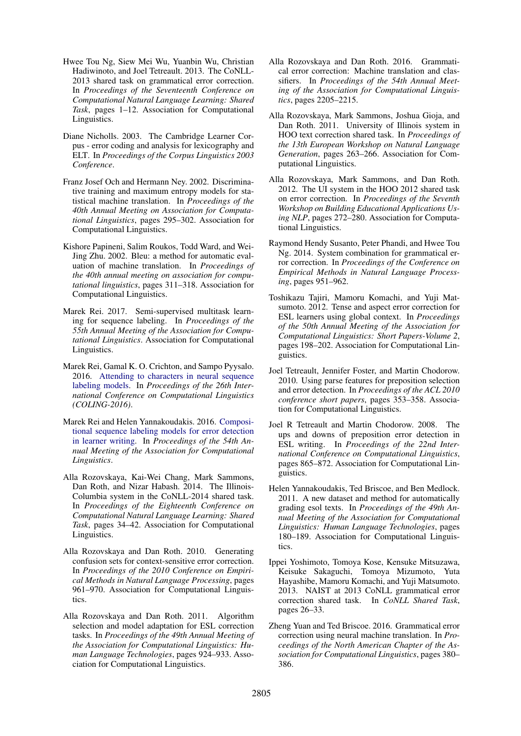- Hwee Tou Ng, Siew Mei Wu, Yuanbin Wu, Christian Hadiwinoto, and Joel Tetreault. 2013. The CoNLL-2013 shared task on grammatical error correction. In *Proceedings of the Seventeenth Conference on Computational Natural Language Learning: Shared Task*, pages 1–12. Association for Computational Linguistics.
- Diane Nicholls. 2003. The Cambridge Learner Corpus - error coding and analysis for lexicography and ELT. In *Proceedings of the Corpus Linguistics 2003 Conference*.
- Franz Josef Och and Hermann Ney. 2002. Discriminative training and maximum entropy models for statistical machine translation. In *Proceedings of the 40th Annual Meeting on Association for Computational Linguistics*, pages 295–302. Association for Computational Linguistics.
- Kishore Papineni, Salim Roukos, Todd Ward, and Wei-Jing Zhu. 2002. Bleu: a method for automatic evaluation of machine translation. In *Proceedings of the 40th annual meeting on association for computational linguistics*, pages 311–318. Association for Computational Linguistics.
- Marek Rei. 2017. Semi-supervised multitask learning for sequence labeling. In *Proceedings of the 55th Annual Meeting of the Association for Computational Linguistics*. Association for Computational Linguistics.
- Marek Rei, Gamal K. O. Crichton, and Sampo Pyysalo. 2016. Attending to characters in neural sequence labeling models. In *Proceedings of the 26th International Conference on Computational Linguistics (COLING-2016)*.
- Marek Rei and Helen Yannakoudakis. 2016. Compositional sequence labeling models for error detection in learner writing. In *Proceedings of the 54th Annual Meeting of the Association for Computational Linguistics*.
- Alla Rozovskaya, Kai-Wei Chang, Mark Sammons, Dan Roth, and Nizar Habash. 2014. The Illinois-Columbia system in the CoNLL-2014 shared task. In *Proceedings of the Eighteenth Conference on Computational Natural Language Learning: Shared Task*, pages 34–42. Association for Computational Linguistics.
- Alla Rozovskaya and Dan Roth. 2010. Generating confusion sets for context-sensitive error correction. In *Proceedings of the 2010 Conference on Empirical Methods in Natural Language Processing*, pages 961–970. Association for Computational Linguistics.
- Alla Rozovskaya and Dan Roth. 2011. Algorithm selection and model adaptation for ESL correction tasks. In *Proceedings of the 49th Annual Meeting of the Association for Computational Linguistics: Human Language Technologies*, pages 924–933. Association for Computational Linguistics.
- Alla Rozovskaya and Dan Roth. 2016. Grammatical error correction: Machine translation and classifiers. In *Proceedings of the 54th Annual Meeting of the Association for Computational Linguistics*, pages 2205–2215.
- Alla Rozovskaya, Mark Sammons, Joshua Gioja, and Dan Roth. 2011. University of Illinois system in HOO text correction shared task. In *Proceedings of the 13th European Workshop on Natural Language Generation*, pages 263–266. Association for Computational Linguistics.
- Alla Rozovskaya, Mark Sammons, and Dan Roth. 2012. The UI system in the HOO 2012 shared task on error correction. In *Proceedings of the Seventh Workshop on Building Educational Applications Using NLP*, pages 272–280. Association for Computational Linguistics.
- Raymond Hendy Susanto, Peter Phandi, and Hwee Tou Ng. 2014. System combination for grammatical error correction. In *Proceedings of the Conference on Empirical Methods in Natural Language Processing*, pages 951–962.
- Toshikazu Tajiri, Mamoru Komachi, and Yuji Matsumoto. 2012. Tense and aspect error correction for ESL learners using global context. In *Proceedings of the 50th Annual Meeting of the Association for Computational Linguistics: Short Papers-Volume 2*, pages 198–202. Association for Computational Linguistics.
- Joel Tetreault, Jennifer Foster, and Martin Chodorow. 2010. Using parse features for preposition selection and error detection. In *Proceedings of the ACL 2010 conference short papers*, pages 353–358. Association for Computational Linguistics.
- Joel R Tetreault and Martin Chodorow. 2008. The ups and downs of preposition error detection in ESL writing. In *Proceedings of the 22nd International Conference on Computational Linguistics*, pages 865–872. Association for Computational Linguistics.
- Helen Yannakoudakis, Ted Briscoe, and Ben Medlock. 2011. A new dataset and method for automatically grading esol texts. In *Proceedings of the 49th Annual Meeting of the Association for Computational Linguistics: Human Language Technologies*, pages 180–189. Association for Computational Linguistics.
- Ippei Yoshimoto, Tomoya Kose, Kensuke Mitsuzawa, Keisuke Sakaguchi, Tomoya Mizumoto, Yuta Hayashibe, Mamoru Komachi, and Yuji Matsumoto. 2013. NAIST at 2013 CoNLL grammatical error correction shared task. In *CoNLL Shared Task*, pages 26–33.
- Zheng Yuan and Ted Briscoe. 2016. Grammatical error correction using neural machine translation. In *Proceedings of the North American Chapter of the Association for Computational Linguistics*, pages 380– 386.